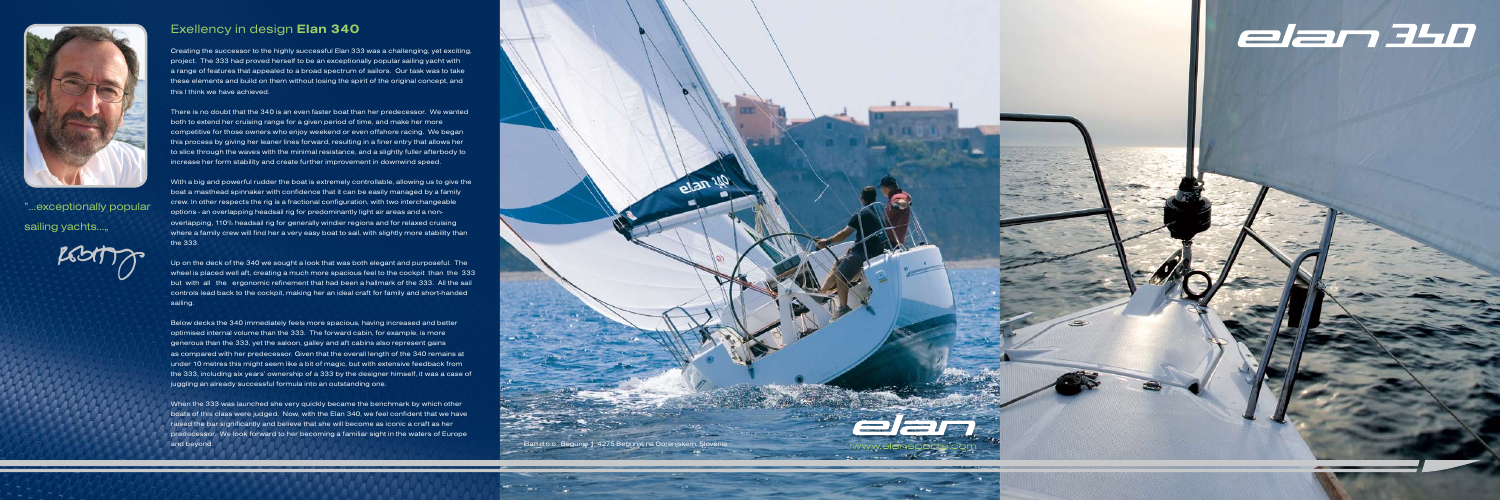

## Exellency in design **Elan 340**

Creating the successor to the highly successful Elan 333 was a challenging, yet exciting, project. The 333 had proved herself to be an exceptionally popular sailing yacht with a range of features that appealed to a broad spectrum of sailors. Our task was to take these elements and build on them without losing the spirit of the original concept, and this I think we have achieved.

There is no doubt that the 340 is an even faster boat than her predecessor. We wanted both to extend her cruising range for a given period of time, and make her more competitive for those owners who enjoy weekend or even offshore racing. We began this process by giving her leaner lines forward, resulting in a finer entry that allows her to slice through the waves with the minimal resistance, and a slightly fuller afterbody to increase her form stability and create further improvement in downwind speed.

With a big and powerful rudder the boat is extremely controllable, allowing us to give the boat a masthead spinnaker with confidence that it can be easily managed by a family crew. In other respects the rig is a fractional configuration, with two interchangeable options - an overlapping headsail rig for predominantly light air areas and a nonoverlapping, 110% headsail rig for generally windier regions and for relaxed cruising where a family crew will find her a very easy boat to sail, with slightly more stability than the 333.

When the 333 was launched she very quickly became the benchmark by which other boats of this class were judged. Now, with the Elan 340, we feel confident that we have raised the bar significantly and believe that she will become as iconic a craft as her predecessor. We look forward to her becoming a familiar sight in the waters of Europe and beyond. Elan d.o.o., Begunje 1, 4275 Begunje na Gorenjskem, Slovenia

"...exceptionally popular sailing yachts...,



Room

elen



Up on the deck of the 340 we sought a look that was both elegant and purposeful. The wheel is placed well aft, creating a much more spacious feel to the cockpit than the 333 but with all the ergonomic refinement that had been a hallmark of the 333. All the sail controls lead back to the cockpit, making her an ideal craft for family and short-handed sailing.

Below decks the 340 immediately feels more spacious, having increased and better optimised internal volume than the 333. The forward cabin, for example, is more generous than the 333, yet the saloon, galley and aft cabins also represent gains as compared with her predecessor. Given that the overall length of the 340 remains at under 10 metres this might seem like a bit of magic, but with extensive feedback from the 333, including six years' ownership of a 333 by the designer himself, it was a case of juggling an already successful formula into an outstanding one.